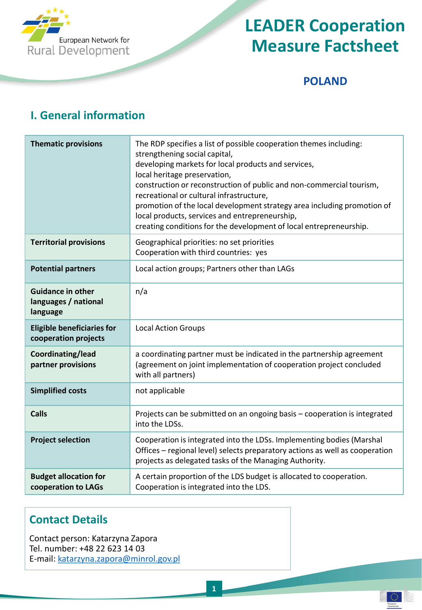

#### **POLAND**

€

### **I. General information**

| <b>Thematic provisions</b>                                   | The RDP specifies a list of possible cooperation themes including:<br>strengthening social capital,<br>developing markets for local products and services,<br>local heritage preservation,<br>construction or reconstruction of public and non-commercial tourism,<br>recreational or cultural infrastructure,<br>promotion of the local development strategy area including promotion of<br>local products, services and entrepreneurship,<br>creating conditions for the development of local entrepreneurship. |
|--------------------------------------------------------------|-------------------------------------------------------------------------------------------------------------------------------------------------------------------------------------------------------------------------------------------------------------------------------------------------------------------------------------------------------------------------------------------------------------------------------------------------------------------------------------------------------------------|
| <b>Territorial provisions</b>                                | Geographical priorities: no set priorities<br>Cooperation with third countries: yes                                                                                                                                                                                                                                                                                                                                                                                                                               |
| <b>Potential partners</b>                                    | Local action groups; Partners other than LAGs                                                                                                                                                                                                                                                                                                                                                                                                                                                                     |
| <b>Guidance in other</b><br>languages / national<br>language | n/a                                                                                                                                                                                                                                                                                                                                                                                                                                                                                                               |
| <b>Eligible beneficiaries for</b><br>cooperation projects    | <b>Local Action Groups</b>                                                                                                                                                                                                                                                                                                                                                                                                                                                                                        |
| Coordinating/lead<br>partner provisions                      | a coordinating partner must be indicated in the partnership agreement<br>(agreement on joint implementation of cooperation project concluded<br>with all partners)                                                                                                                                                                                                                                                                                                                                                |
| <b>Simplified costs</b>                                      | not applicable                                                                                                                                                                                                                                                                                                                                                                                                                                                                                                    |
| <b>Calls</b>                                                 | Projects can be submitted on an ongoing basis - cooperation is integrated<br>into the LDSs.                                                                                                                                                                                                                                                                                                                                                                                                                       |
| <b>Project selection</b>                                     | Cooperation is integrated into the LDSs. Implementing bodies (Marshal<br>Offices - regional level) selects preparatory actions as well as cooperation<br>projects as delegated tasks of the Managing Authority.                                                                                                                                                                                                                                                                                                   |
| <b>Budget allocation for</b><br>cooperation to LAGs          | A certain proportion of the LDS budget is allocated to cooperation.<br>Cooperation is integrated into the LDS.                                                                                                                                                                                                                                                                                                                                                                                                    |

#### **Contact Details**

Contact person: Katarzyna Zapora Tel. number: +48 22 623 14 03 E-mail: [katarzyna.zapora@minrol.gov.pl](mailto:katarzyna.zapora@minrol.gov.pl)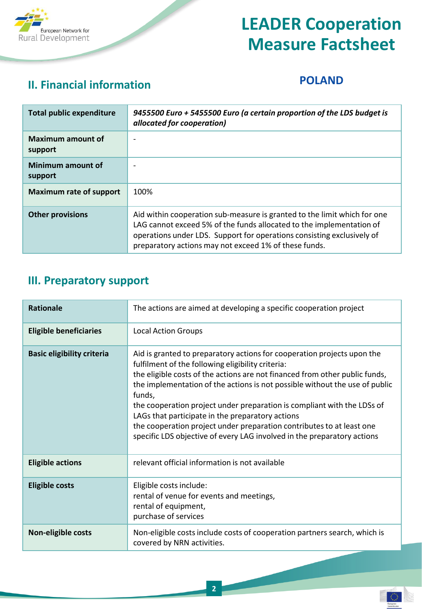

## **II. Financial information POLAND**

€

| <b>Total public expenditure</b>     | 9455500 Euro + 5455500 Euro (a certain proportion of the LDS budget is<br>allocated for cooperation)                                                                                                                                                                                |
|-------------------------------------|-------------------------------------------------------------------------------------------------------------------------------------------------------------------------------------------------------------------------------------------------------------------------------------|
| <b>Maximum amount of</b><br>support |                                                                                                                                                                                                                                                                                     |
| Minimum amount of<br>support        |                                                                                                                                                                                                                                                                                     |
| <b>Maximum rate of support</b>      | 100%                                                                                                                                                                                                                                                                                |
| <b>Other provisions</b>             | Aid within cooperation sub-measure is granted to the limit which for one<br>LAG cannot exceed 5% of the funds allocated to the implementation of<br>operations under LDS. Support for operations consisting exclusively of<br>preparatory actions may not exceed 1% of these funds. |

### **III. Preparatory support**

| Rationale                         | The actions are aimed at developing a specific cooperation project                                                                                                                                                                                                                                                                                                                                                                                                                                                                                                                      |
|-----------------------------------|-----------------------------------------------------------------------------------------------------------------------------------------------------------------------------------------------------------------------------------------------------------------------------------------------------------------------------------------------------------------------------------------------------------------------------------------------------------------------------------------------------------------------------------------------------------------------------------------|
| <b>Eligible beneficiaries</b>     | <b>Local Action Groups</b>                                                                                                                                                                                                                                                                                                                                                                                                                                                                                                                                                              |
| <b>Basic eligibility criteria</b> | Aid is granted to preparatory actions for cooperation projects upon the<br>fulfilment of the following eligibility criteria:<br>the eligible costs of the actions are not financed from other public funds,<br>the implementation of the actions is not possible without the use of public<br>funds,<br>the cooperation project under preparation is compliant with the LDSs of<br>LAGs that participate in the preparatory actions<br>the cooperation project under preparation contributes to at least one<br>specific LDS objective of every LAG involved in the preparatory actions |
| <b>Eligible actions</b>           | relevant official information is not available                                                                                                                                                                                                                                                                                                                                                                                                                                                                                                                                          |
| <b>Eligible costs</b>             | Eligible costs include:<br>rental of venue for events and meetings,<br>rental of equipment,<br>purchase of services                                                                                                                                                                                                                                                                                                                                                                                                                                                                     |
| Non-eligible costs                | Non-eligible costs include costs of cooperation partners search, which is<br>covered by NRN activities.                                                                                                                                                                                                                                                                                                                                                                                                                                                                                 |

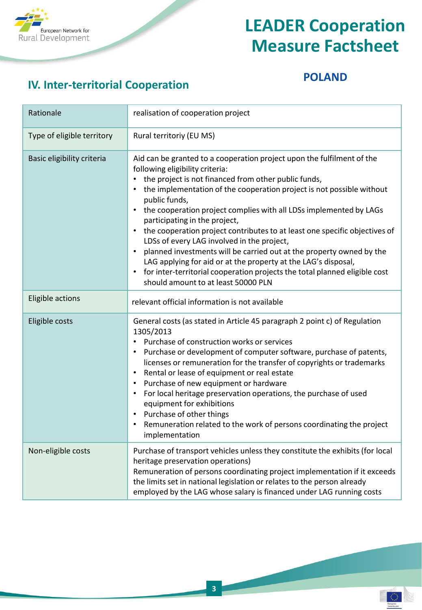

## **IV. Inter-territorial Cooperation**

#### **POLAND**

€

| Rationale                  | realisation of cooperation project                                                                                                                                                                                                                                                                                                                                                                                                                                                                                                                                                                                                                                                                                                                                                                   |
|----------------------------|------------------------------------------------------------------------------------------------------------------------------------------------------------------------------------------------------------------------------------------------------------------------------------------------------------------------------------------------------------------------------------------------------------------------------------------------------------------------------------------------------------------------------------------------------------------------------------------------------------------------------------------------------------------------------------------------------------------------------------------------------------------------------------------------------|
| Type of eligible territory | Rural territoriy (EU MS)                                                                                                                                                                                                                                                                                                                                                                                                                                                                                                                                                                                                                                                                                                                                                                             |
| Basic eligibility criteria | Aid can be granted to a cooperation project upon the fulfilment of the<br>following eligibility criteria:<br>the project is not financed from other public funds,<br>the implementation of the cooperation project is not possible without<br>public funds,<br>the cooperation project complies with all LDSs implemented by LAGs<br>$\bullet$<br>participating in the project,<br>the cooperation project contributes to at least one specific objectives of<br>LDSs of every LAG involved in the project,<br>planned investments will be carried out at the property owned by the<br>$\bullet$<br>LAG applying for aid or at the property at the LAG's disposal,<br>for inter-territorial cooperation projects the total planned eligible cost<br>$\bullet$<br>should amount to at least 50000 PLN |
| Eligible actions           | relevant official information is not available                                                                                                                                                                                                                                                                                                                                                                                                                                                                                                                                                                                                                                                                                                                                                       |
| Eligible costs             | General costs (as stated in Article 45 paragraph 2 point c) of Regulation<br>1305/2013<br>Purchase of construction works or services<br>Purchase or development of computer software, purchase of patents,<br>licenses or remuneration for the transfer of copyrights or trademarks<br>Rental or lease of equipment or real estate<br>$\bullet$<br>Purchase of new equipment or hardware<br>For local heritage preservation operations, the purchase of used<br>equipment for exhibitions<br>Purchase of other things<br>Remuneration related to the work of persons coordinating the project<br>implementation                                                                                                                                                                                      |
| Non-eligible costs         | Purchase of transport vehicles unless they constitute the exhibits (for local<br>heritage preservation operations)<br>Remuneration of persons coordinating project implementation if it exceeds<br>the limits set in national legislation or relates to the person already<br>employed by the LAG whose salary is financed under LAG running costs                                                                                                                                                                                                                                                                                                                                                                                                                                                   |